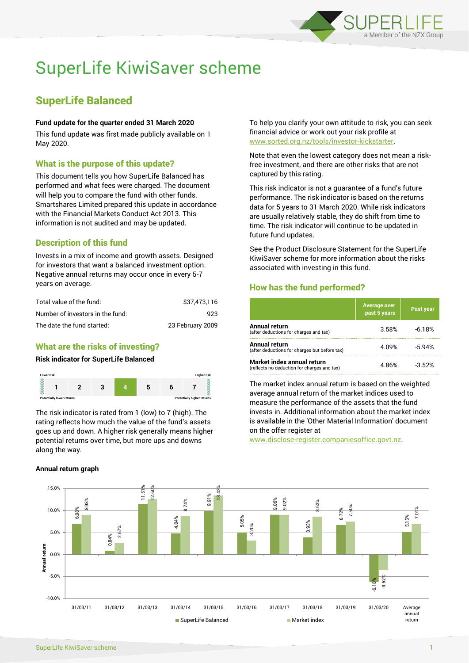

# SuperLife KiwiSaver scheme

# SuperLife Balanced

#### **Fund update for the quarter ended 31 March 2020**

This fund update was first made publicly available on 1 May 2020.

# What is the purpose of this update?

This document tells you how SuperLife Balanced has performed and what fees were charged. The document will help you to compare the fund with other funds. Smartshares Limited prepared this update in accordance with the Financial Markets Conduct Act 2013. This information is not audited and may be updated.

# Description of this fund

Invests in a mix of income and growth assets. Designed for investors that want a balanced investment option. Negative annual returns may occur once in every 5-7 years on average.

| Total value of the fund:         | \$37,473,116     |
|----------------------------------|------------------|
| Number of investors in the fund: | 923              |
| The date the fund started:       | 23 February 2009 |

# What are the risks of investing?

#### **Risk indicator for SuperLife Balanced**



The risk indicator is rated from 1 (low) to 7 (high). The rating reflects how much the value of the fund's assets goes up and down. A higher risk generally means higher potential returns over time, but more ups and downs along the way.

#### **Annual return graph**

To help you clarify your own attitude to risk, you can seek financial advice or work out your risk profile at [www.sorted.org.nz/tools/investor-kickstarter.](http://www.sorted.org.nz/tools/investor-kickstarter)

Note that even the lowest category does not mean a riskfree investment, and there are other risks that are not captured by this rating.

This risk indicator is not a guarantee of a fund's future performance. The risk indicator is based on the returns data for 5 years to 31 March 2020. While risk indicators are usually relatively stable, they do shift from time to time. The risk indicator will continue to be updated in future fund updates.

See the Product Disclosure Statement for the SuperLife KiwiSaver scheme for more information about the risks associated with investing in this fund.

# How has the fund performed?

|                                                                           | <b>Average over</b><br>past 5 years | <b>Past year</b> |
|---------------------------------------------------------------------------|-------------------------------------|------------------|
| Annual return<br>(after deductions for charges and tax)                   | 3.58%                               | $-6.18%$         |
| Annual return<br>(after deductions for charges but before tax)            | 4 በዓ%                               | -5.94%           |
| Market index annual return<br>(reflects no deduction for charges and tax) | 4 ጸ6%                               | -3.52%           |

The market index annual return is based on the weighted average annual return of the market indices used to measure the performance of the assets that the fund invests in. Additional information about the market index is available in the 'Other Material Information' document on the offer register at

www.disclose-register.companiesoffice.govt.nz.

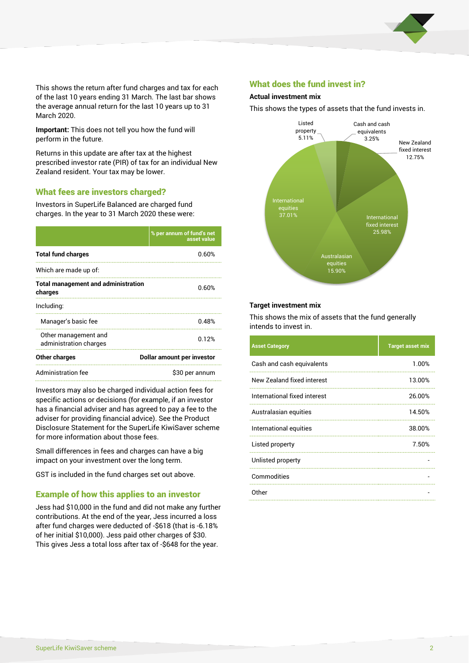

This shows the return after fund charges and tax for each of the last 10 years ending 31 March. The last bar shows the average annual return for the last 10 years up to 31 March 2020.

**Important:** This does not tell you how the fund will perform in the future.

Returns in this update are after tax at the highest prescribed investor rate (PIR) of tax for an individual New Zealand resident. Your tax may be lower.

### What fees are investors charged?

Investors in SuperLife Balanced are charged fund charges. In the year to 31 March 2020 these were:

|                                                       | % per annum of fund's net<br>asset value |
|-------------------------------------------------------|------------------------------------------|
| <b>Total fund charges</b>                             | 0.60%                                    |
| Which are made up of:                                 |                                          |
| <b>Total management and administration</b><br>charges | <u>በ 60%</u>                             |
| Including:                                            |                                          |
| Manager's basic fee                                   | 0.48%                                    |
| Other management and<br>administration charges        | 0.12%                                    |
| Other charges                                         | Dollar amount per investor               |
| Administration fee                                    | \$30 per annum                           |

Investors may also be charged individual action fees for specific actions or decisions (for example, if an investor has a financial adviser and has agreed to pay a fee to the adviser for providing financial advice). See the Product Disclosure Statement for the SuperLife KiwiSaver scheme for more information about those fees.

Small differences in fees and charges can have a big impact on your investment over the long term.

GST is included in the fund charges set out above.

#### Example of how this applies to an investor

Jess had \$10,000 in the fund and did not make any further contributions. At the end of the year, Jess incurred a loss after fund charges were deducted of -\$618 (that is -6.18% of her initial \$10,000). Jess paid other charges of \$30. This gives Jess a total loss after tax of -\$648 for the year.

#### What does the fund invest in?

#### **Actual investment mix**

This shows the types of assets that the fund invests in.



#### **Target investment mix**

This shows the mix of assets that the fund generally intends to invest in.

| <b>Asset Category</b>        | <b>Target asset mix</b> |
|------------------------------|-------------------------|
| Cash and cash equivalents    | 1.00%                   |
| New Zealand fixed interest   | 13.00%                  |
| International fixed interest | 26.00%                  |
| Australasian equities        | 14.50%                  |
| International equities       | 38.00%                  |
| Listed property              | 7.50%                   |
| Unlisted property            |                         |
| Commodities                  |                         |
| Other                        |                         |